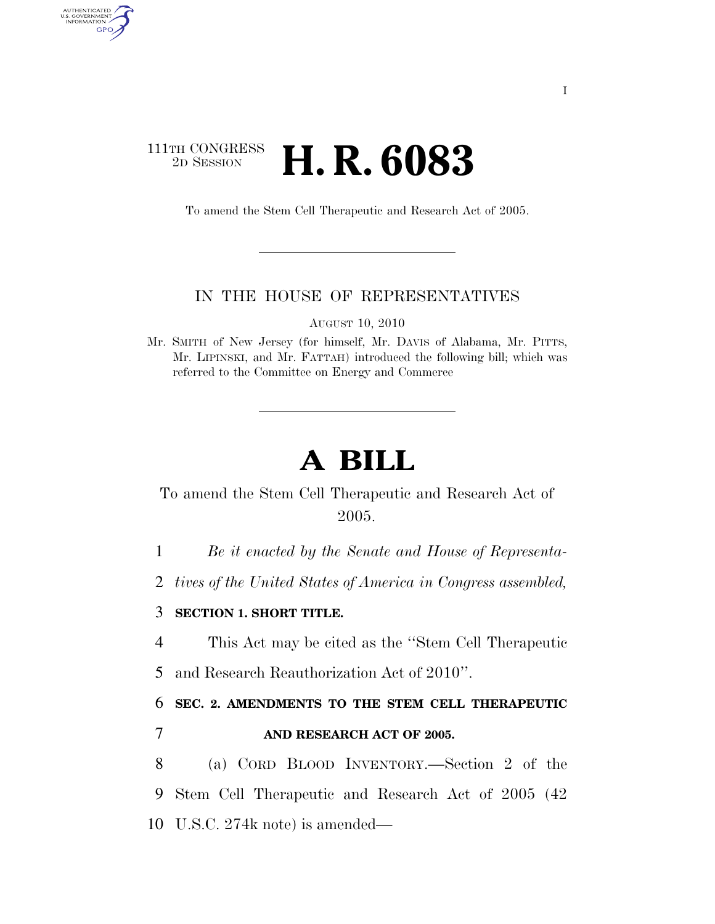## 111TH CONGRESS <sup>2D SESSION</sup> **H. R. 6083**

AUTHENTICATED<br>U.S. GOVERNMENT<br>INFORMATION GPO

To amend the Stem Cell Therapeutic and Research Act of 2005.

## IN THE HOUSE OF REPRESENTATIVES

AUGUST 10, 2010

Mr. SMITH of New Jersey (for himself, Mr. DAVIS of Alabama, Mr. PITTS, Mr. LIPINSKI, and Mr. FATTAH) introduced the following bill; which was referred to the Committee on Energy and Commerce

## **A BILL**

To amend the Stem Cell Therapeutic and Research Act of 2005.

1 *Be it enacted by the Senate and House of Representa-*

2 *tives of the United States of America in Congress assembled,* 

## 3 **SECTION 1. SHORT TITLE.**

4 This Act may be cited as the ''Stem Cell Therapeutic

5 and Research Reauthorization Act of 2010''.

6 **SEC. 2. AMENDMENTS TO THE STEM CELL THERAPEUTIC**  7 **AND RESEARCH ACT OF 2005.** 

8 (a) CORD BLOOD INVENTORY.—Section 2 of the 9 Stem Cell Therapeutic and Research Act of 2005 (42 10 U.S.C. 274k note) is amended—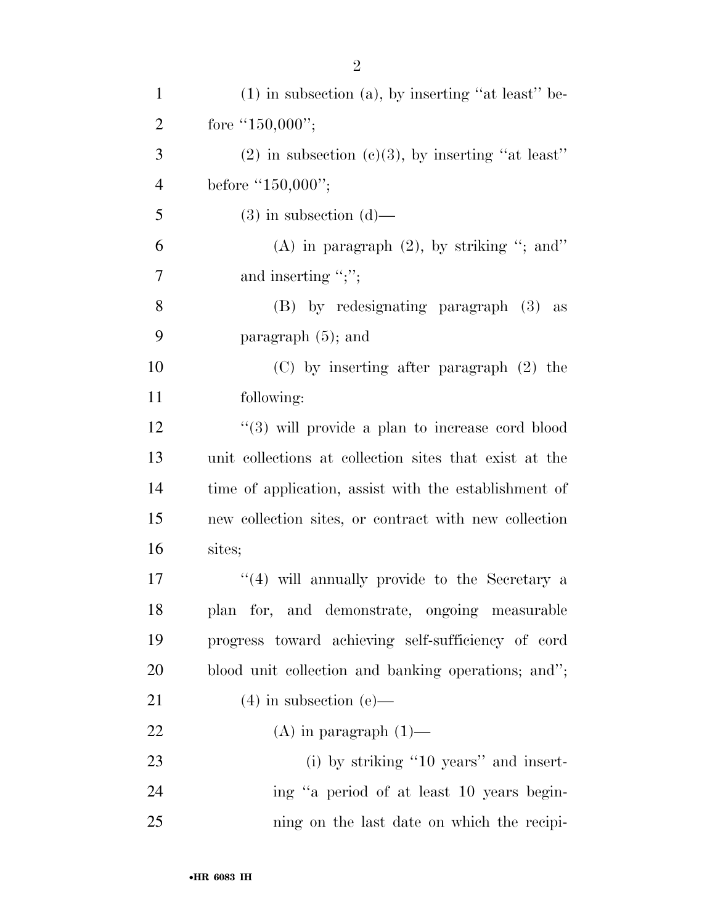| $\mathbf{1}$   | $(1)$ in subsection $(a)$ , by inserting "at least" be- |
|----------------|---------------------------------------------------------|
| $\overline{2}$ | fore " $150,000$ ";                                     |
| $\mathfrak{Z}$ | $(2)$ in subsection $(c)(3)$ , by inserting "at least"  |
| $\overline{4}$ | before " $150,000$ ";                                   |
| 5              | $(3)$ in subsection $(d)$ —                             |
| 6              | $(A)$ in paragraph $(2)$ , by striking "; and"          |
| 7              | and inserting " $;$ ";"                                 |
| 8              | (B) by redesignating paragraph (3) as                   |
| 9              | paragraph $(5)$ ; and                                   |
| 10             | $(C)$ by inserting after paragraph $(2)$ the            |
| 11             | following:                                              |
| 12             | $\lq(3)$ will provide a plan to increase cord blood     |
| 13             | unit collections at collection sites that exist at the  |
| 14             | time of application, assist with the establishment of   |
| 15             | new collection sites, or contract with new collection   |
| 16             | sites;                                                  |
| 17             | $\lq(4)$ will annually provide to the Secretary a       |
| 18             | plan for, and demonstrate, ongoing measurable           |
| 19             | progress toward achieving self-sufficiency of cord      |
| 20             | blood unit collection and banking operations; and";     |
| 21             | $(4)$ in subsection $(e)$ —                             |
| 22             | $(A)$ in paragraph $(1)$ —                              |
| 23             | (i) by striking "10 years" and insert-                  |
| 24             | ing "a period of at least 10 years begin-               |
| 25             | ning on the last date on which the recipi-              |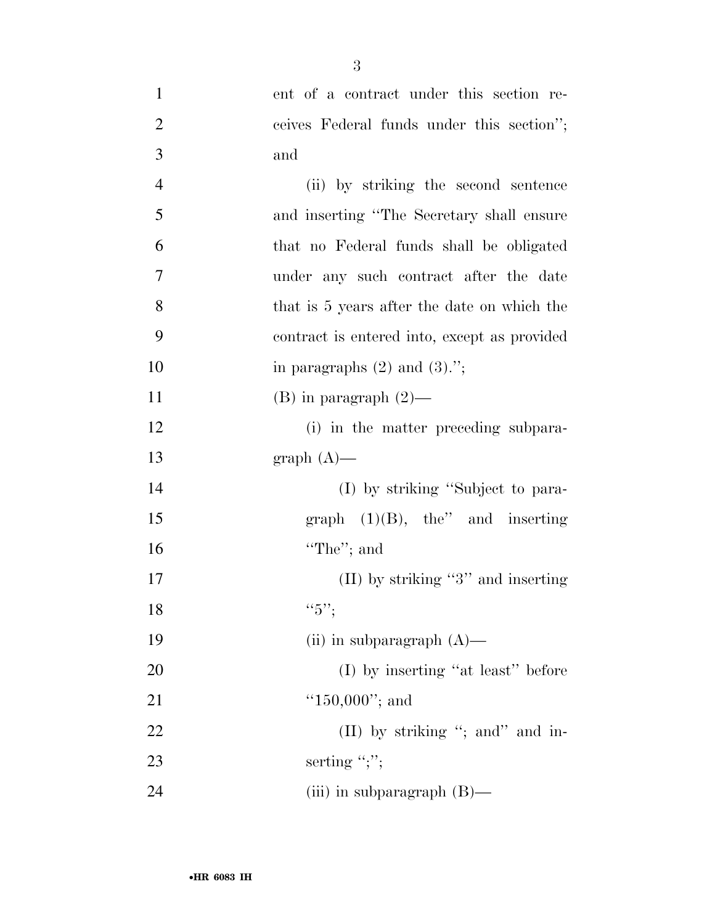| $\mathbf{1}$   | ent of a contract under this section re-     |
|----------------|----------------------------------------------|
| $\overline{2}$ | ceives Federal funds under this section";    |
| 3              | and                                          |
| $\overline{4}$ | (ii) by striking the second sentence         |
| 5              | and inserting "The Secretary shall ensure    |
| 6              | that no Federal funds shall be obligated     |
| $\overline{7}$ | under any such contract after the date       |
| 8              | that is 5 years after the date on which the  |
| 9              | contract is entered into, except as provided |
| 10             | in paragraphs $(2)$ and $(3)$ .";            |
| 11             | $(B)$ in paragraph $(2)$ —                   |
| 12             | (i) in the matter preceding subpara-         |
| 13             | $graph(A)$ —                                 |
| 14             | (I) by striking "Subject to para-            |
| 15             | graph $(1)(B)$ , the" and inserting          |
| 16             | "The"; and                                   |
| 17             | (II) by striking "3" and inserting           |
| 18             | ``5"                                         |
| 19             | (ii) in subparagraph $(A)$ —                 |
| 20             | (I) by inserting "at least" before           |
| 21             | " $150,000$ "; and                           |
| 22             | $(II)$ by striking "; and" and in-           |
| 23             | serting ";";                                 |
| 24             | (iii) in subparagraph $(B)$ —                |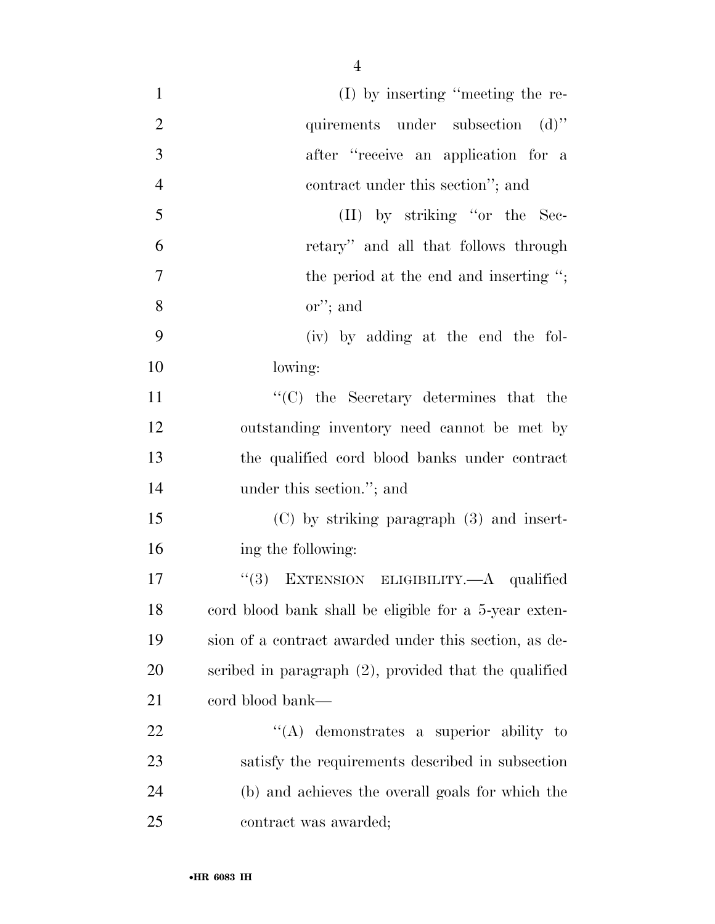| $\mathbf{1}$   | $(I)$ by inserting "meeting the re-                      |
|----------------|----------------------------------------------------------|
| $\overline{2}$ | quirements under subsection (d)"                         |
| 3              | after "receive an application for a                      |
| $\overline{4}$ | contract under this section"; and                        |
| 5              | (II) by striking "or the Sec-                            |
| 6              | retary" and all that follows through                     |
| $\overline{7}$ | the period at the end and inserting ";                   |
| 8              | $or$ "; and                                              |
| 9              | (iv) by adding at the end the fol-                       |
| 10             | lowing:                                                  |
| 11             | $\lq\lq$ (C) the Secretary determines that the           |
| 12             | outstanding inventory need cannot be met by              |
| 13             | the qualified cord blood banks under contract            |
| 14             | under this section."; and                                |
| 15             | $(C)$ by striking paragraph $(3)$ and insert-            |
| 16             | ing the following:                                       |
| 17             | EXTENSION ELIGIBILITY.- A qualified<br>(3)               |
| 18             | cord blood bank shall be eligible for a 5-year exten-    |
| 19             | sion of a contract awarded under this section, as de-    |
| 20             | scribed in paragraph $(2)$ , provided that the qualified |
| 21             | cord blood bank—                                         |
| 22             | $\lq\lq$ demonstrates a superior ability to              |
| 23             | satisfy the requirements described in subsection         |
| 24             | (b) and achieves the overall goals for which the         |
| 25             | contract was awarded;                                    |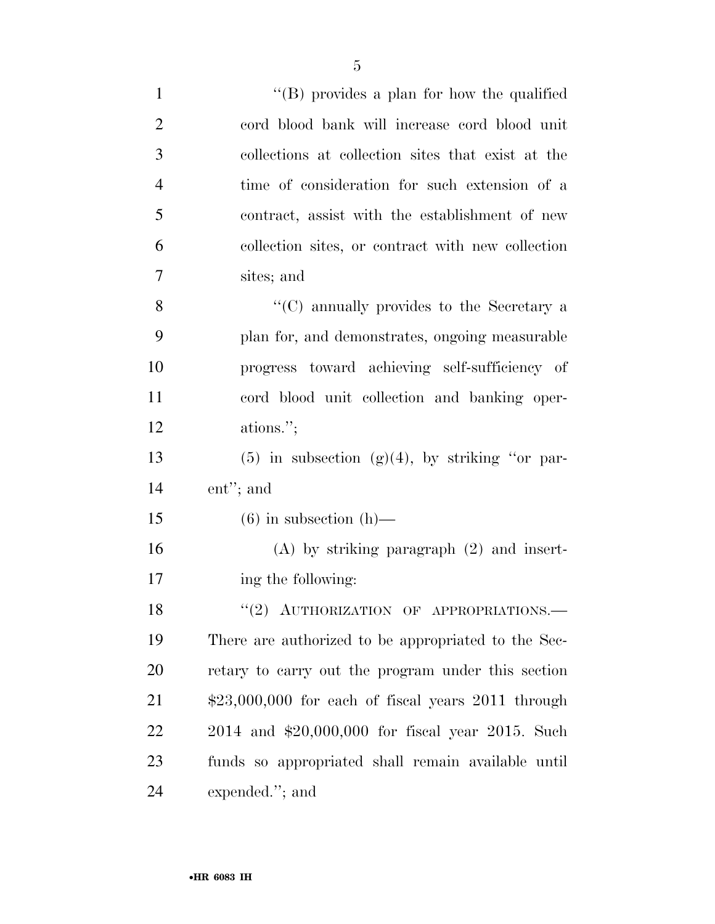| $\mathbf{1}$   | "(B) provides a plan for how the qualified            |
|----------------|-------------------------------------------------------|
| $\overline{2}$ | cord blood bank will increase cord blood unit         |
| 3              | collections at collection sites that exist at the     |
| $\overline{4}$ | time of consideration for such extension of a         |
| 5              | contract, assist with the establishment of new        |
| 6              | collection sites, or contract with new collection     |
| 7              | sites; and                                            |
| 8              | "(C) annually provides to the Secretary a             |
| 9              | plan for, and demonstrates, ongoing measurable        |
| 10             | progress toward achieving self-sufficiency of         |
| 11             | cord blood unit collection and banking oper-          |
| 12             | ations.";                                             |
| 13             | $(5)$ in subsection $(g)(4)$ , by striking "or par-   |
| 14             | ent"; and                                             |
| 15             | $(6)$ in subsection $(h)$ —                           |
| 16             | $(A)$ by striking paragraph $(2)$ and insert-         |
| 17             | ing the following:                                    |
| 18             | "(2) AUTHORIZATION OF APPROPRIATIONS.                 |
| 19             | There are authorized to be appropriated to the Sec-   |
| 20             | retary to carry out the program under this section    |
| 21             | $$23,000,000$ for each of fiscal years $2011$ through |
| 22             | 2014 and \$20,000,000 for fiscal year 2015. Such      |
| 23             | funds so appropriated shall remain available until    |
| 24             | expended."; and                                       |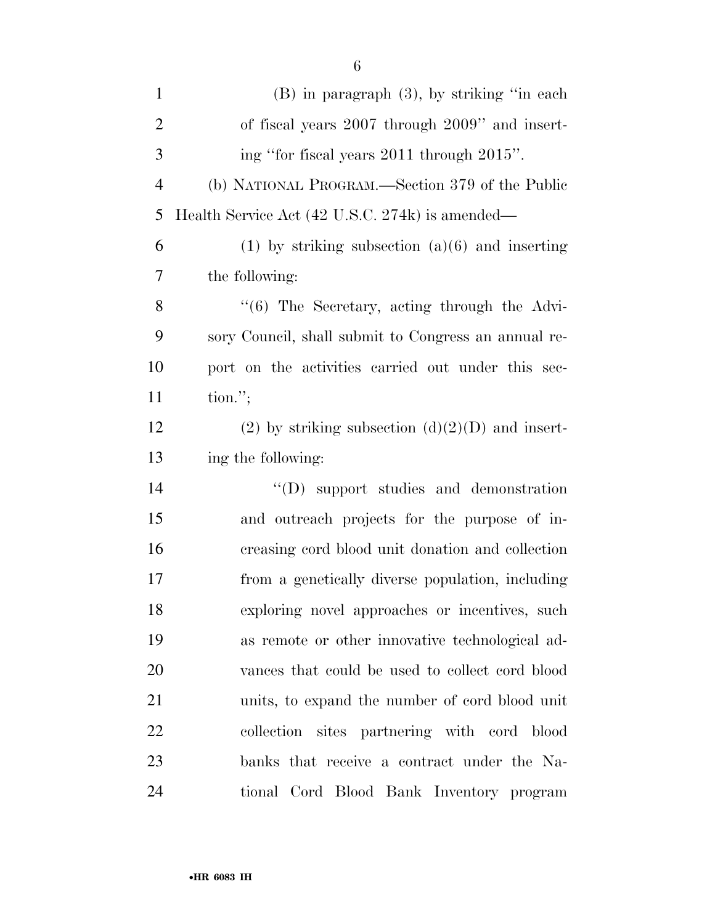| $\mathbf{1}$   | $(B)$ in paragraph $(3)$ , by striking "in each          |
|----------------|----------------------------------------------------------|
| $\overline{2}$ | of fiscal years 2007 through 2009" and insert-           |
| 3              | ing "for fiscal years 2011 through 2015".                |
| $\overline{4}$ | (b) NATIONAL PROGRAM.—Section 379 of the Public          |
| 5              | Health Service Act (42 U.S.C. 274k) is amended—          |
| 6              | $(1)$ by striking subsection $(a)(6)$ and inserting      |
| 7              | the following:                                           |
| 8              | $\cdot\cdot$ (6) The Secretary, acting through the Advi- |
| 9              | sory Council, shall submit to Congress an annual re-     |
| 10             | port on the activities carried out under this sec-       |
| 11             | $\{tion.";\}$                                            |
| 12             | (2) by striking subsection $(d)(2)(D)$ and insert-       |
| 13             | ing the following:                                       |
| 14             | "(D) support studies and demonstration                   |
| 15             | and outreach projects for the purpose of in-             |
| 16             | creasing cord blood unit donation and collection         |
| 17             | from a genetically diverse population, including         |
| 18             | exploring novel approaches or incentives, such           |
| 19             | as remote or other innovative technological ad-          |
| 20             | vances that could be used to collect cord blood          |
| 21             | units, to expand the number of cord blood unit           |
| 22             | collection sites partnering with cord blood              |
| 23             | banks that receive a contract under the Na-              |
| 24             | tional Cord Blood Bank Inventory program                 |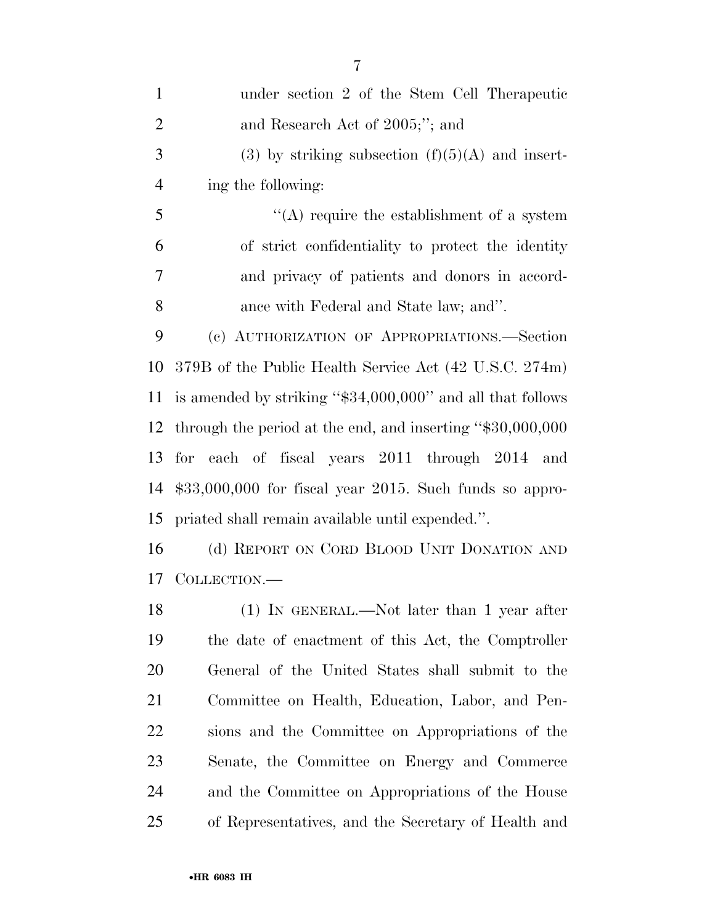| $\mathbf{1}$   | under section 2 of the Stem Cell Therapeutic                  |
|----------------|---------------------------------------------------------------|
| $\overline{2}$ | and Research Act of 2005;"; and                               |
| 3              | (3) by striking subsection $(f)(5)(A)$ and insert-            |
| $\overline{4}$ | ing the following:                                            |
| 5              | "(A) require the establishment of a system                    |
| 6              | of strict confidentiality to protect the identity             |
| 7              | and privacy of patients and donors in accord-                 |
| 8              | ance with Federal and State law; and".                        |
| 9              | (c) AUTHORIZATION OF APPROPRIATIONS.-Section                  |
| 10             | 379B of the Public Health Service Act (42 U.S.C. 274m)        |
| 11             | is amended by striking " $$34,000,000$ " and all that follows |
| 12             | through the period at the end, and inserting " $$30,000,000$  |
|                | 13 for each of fiscal years 2011 through 2014 and             |
| 14             | $$33,000,000$ for fiscal year 2015. Such funds so appro-      |
| 15             | priated shall remain available until expended.".              |
| 16             | (d) REPORT ON CORD BLOOD UNIT DONATION AND                    |
| 17             | COLLECTION.—                                                  |
| 18             | (1) IN GENERAL.—Not later than 1 year after                   |
| 19             | the date of enactment of this Act, the Comptroller            |
| 20             | General of the United States shall submit to the              |
| 21             | Committee on Health, Education, Labor, and Pen-               |
| 22             | sions and the Committee on Appropriations of the              |
| 23             | Senate, the Committee on Energy and Commerce                  |
| 24             | and the Committee on Appropriations of the House              |
| 25             | of Representatives, and the Secretary of Health and           |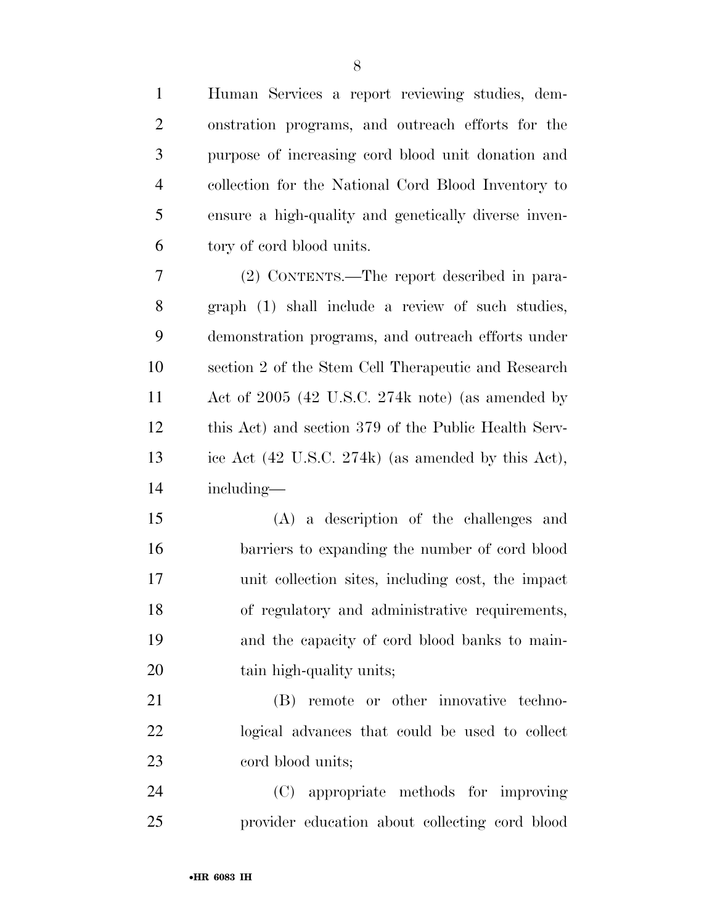| $\mathbf{1}$   | Human Services a report reviewing studies, dem-      |
|----------------|------------------------------------------------------|
| $\overline{2}$ | onstration programs, and outreach efforts for the    |
| 3              | purpose of increasing cord blood unit donation and   |
| $\overline{4}$ | collection for the National Cord Blood Inventory to  |
| 5              | ensure a high-quality and genetically diverse inven- |
| 6              | tory of cord blood units.                            |
| 7              | (2) CONTENTS.—The report described in para-          |
| 8              | graph (1) shall include a review of such studies,    |
| 9              | demonstration programs, and outreach efforts under   |
| 10             | section 2 of the Stem Cell Therapeutic and Research  |
| 11             | Act of 2005 (42 U.S.C. 274k note) (as amended by     |
| 12             | this Act) and section 379 of the Public Health Serv- |
| 13             | ice Act (42 U.S.C. 274k) (as amended by this Act),   |
| 14             | including—                                           |
| 15             | (A) a description of the challenges and              |
| 16             | barriers to expanding the number of cord blood       |
| 17             | unit collection sites, including cost, the impact    |
| 18             | of regulatory and administrative requirements,       |
| 19             | and the capacity of cord blood banks to main-        |
| 20             | tain high-quality units;                             |
| 21             | (B) remote or other innovative techno-               |
| 22             | logical advances that could be used to collect       |
| 23             | cord blood units;                                    |
| 24             | (C) appropriate methods for improving                |
| $25\,$         | provider education about collecting cord blood       |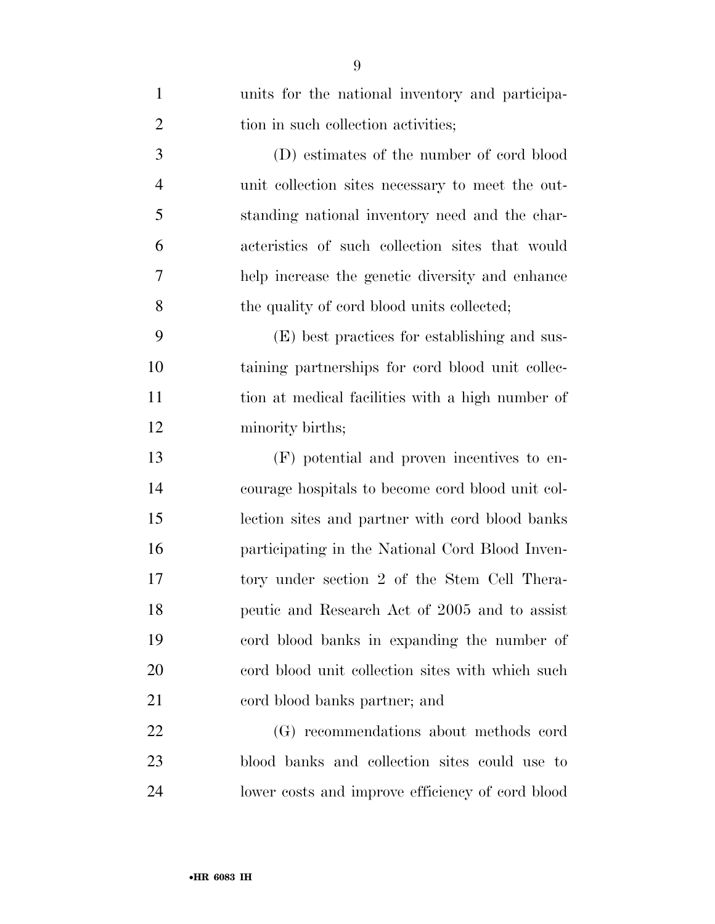| $\mathbf{1}$   | units for the national inventory and participa-  |
|----------------|--------------------------------------------------|
| $\overline{2}$ | tion in such collection activities;              |
| 3              | (D) estimates of the number of cord blood        |
| $\overline{4}$ | unit collection sites necessary to meet the out- |
| 5              | standing national inventory need and the char-   |
| 6              | acteristics of such collection sites that would  |
| 7              | help increase the genetic diversity and enhance  |
| 8              | the quality of cord blood units collected;       |
| 9              | (E) best practices for establishing and sus-     |
| 10             | taining partnerships for cord blood unit collec- |
| 11             | tion at medical facilities with a high number of |
| 12             | minority births;                                 |
| 13             | (F) potential and proven incentives to en-       |
| 14             | courage hospitals to become cord blood unit col- |
| 15             | lection sites and partner with cord blood banks  |
| 16             | participating in the National Cord Blood Inven-  |
| 17             | tory under section 2 of the Stem Cell Thera-     |
| 18             | peutic and Research Act of 2005 and to assist    |
| 19             | cord blood banks in expanding the number of      |
| 20             | cord blood unit collection sites with which such |
| 21             | cord blood banks partner; and                    |
| 22             | (G) recommendations about methods cord           |
| 23             | blood banks and collection sites could use to    |
| 24             | lower costs and improve efficiency of cord blood |